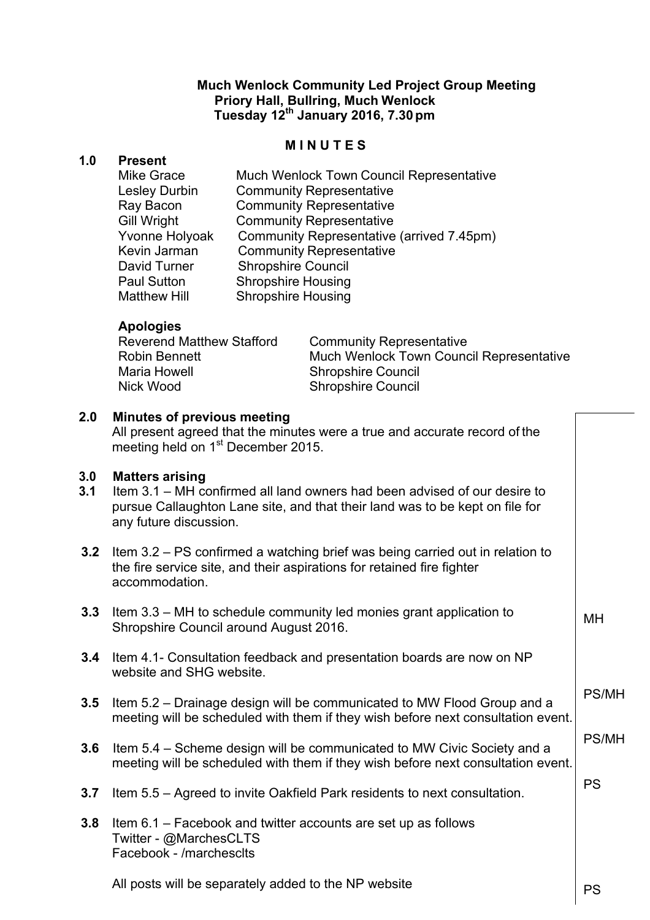# **Much Wenlock Community Led Project Group Meeting Priory Hall, Bullring, Much Wenlock Tuesday 12th January 2016, 7.30pm**

## **M I N U T E S**

### **1.0 Present**

| <b>Mike Grace</b>    | Much Wenlock Town Council Representative  |
|----------------------|-------------------------------------------|
| <b>Lesley Durbin</b> | <b>Community Representative</b>           |
| Ray Bacon            | <b>Community Representative</b>           |
| <b>Gill Wright</b>   | <b>Community Representative</b>           |
| Yvonne Holyoak       | Community Representative (arrived 7.45pm) |
| Kevin Jarman         | <b>Community Representative</b>           |
| David Turner         | <b>Shropshire Council</b>                 |
| <b>Paul Sutton</b>   | <b>Shropshire Housing</b>                 |
| <b>Matthew Hill</b>  | <b>Shropshire Housing</b>                 |

## **Apologies**

| <b>Reverend Matthew Stafford</b><br><b>Robin Bennett</b> | <b>Community Representative</b><br>Much Wenlock Town Council Representative |
|----------------------------------------------------------|-----------------------------------------------------------------------------|
| Maria Howell                                             | <b>Shropshire Council</b>                                                   |
| Nick Wood                                                | <b>Shropshire Council</b>                                                   |

# **2.0 Minutes of previous meeting**

All present agreed that the minutes were a true and accurate record of the meeting held on 1<sup>st</sup> December 2015.

### **3.0 Matters arising**

- **3.1** Item 3.1 MH confirmed all land owners had been advised of our desire to pursue Callaughton Lane site, and that their land was to be kept on file for any future discussion.
- **3.2** Item 3.2 PS confirmed a watching brief was being carried out in relation to the fire service site, and their aspirations for retained fire fighter accommodation.
- **3.3** Item 3.3 MH to schedule community led monies grant application to Shropshire Council around August 2016.
- **3.4** Item 4.1- Consultation feedback and presentation boards are now on NP website and SHG website.
- **3.5** Item 5.2 Drainage design will be communicated to MW Flood Group and a meeting will be scheduled with them if they wish before next consultation event. PS/MH
- **3.6** Item 5.4 Scheme design will be communicated to MW Civic Society and a meeting will be scheduled with them if they wish before next consultation event. PS/MH
- **3.7** Item 5.5 Agreed to invite Oakfield Park residents to next consultation.
- **3.8** Item 6.1 Facebook and twitter accounts are set up as follows Twitter - @MarchesCLTS Facebook - /marchesclts

All posts will be separately added to the NP website

PS

MH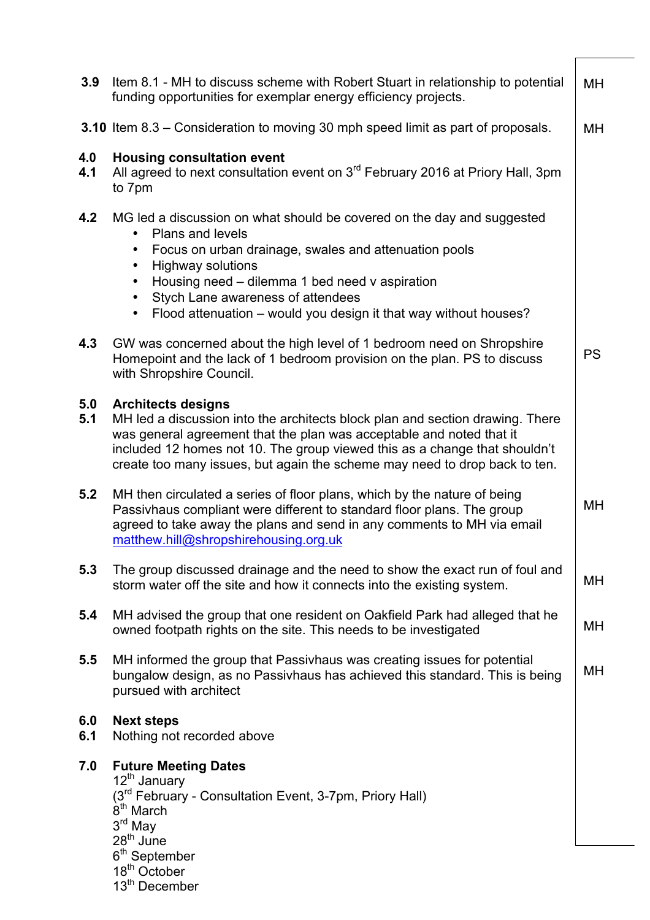| 3.9        | Item 8.1 - MH to discuss scheme with Robert Stuart in relationship to potential<br>funding opportunities for exemplar energy efficiency projects.                                                                                                                                                                                                                                                                               | MН        |
|------------|---------------------------------------------------------------------------------------------------------------------------------------------------------------------------------------------------------------------------------------------------------------------------------------------------------------------------------------------------------------------------------------------------------------------------------|-----------|
|            | 3.10 Item 8.3 – Consideration to moving 30 mph speed limit as part of proposals.                                                                                                                                                                                                                                                                                                                                                |           |
| 4.0<br>4.1 | <b>Housing consultation event</b><br>All agreed to next consultation event on 3 <sup>rd</sup> February 2016 at Priory Hall, 3pm<br>to 7pm                                                                                                                                                                                                                                                                                       |           |
| 4.2        | MG led a discussion on what should be covered on the day and suggested<br><b>Plans and levels</b><br>$\bullet$<br>Focus on urban drainage, swales and attenuation pools<br>$\bullet$<br><b>Highway solutions</b><br>$\bullet$<br>Housing need - dilemma 1 bed need v aspiration<br>$\bullet$<br>Stych Lane awareness of attendees<br>$\bullet$<br>Flood attenuation - would you design it that way without houses?<br>$\bullet$ |           |
| 4.3        | GW was concerned about the high level of 1 bedroom need on Shropshire<br>Homepoint and the lack of 1 bedroom provision on the plan. PS to discuss<br>with Shropshire Council.                                                                                                                                                                                                                                                   | <b>PS</b> |
| 5.0<br>5.1 | <b>Architects designs</b><br>MH led a discussion into the architects block plan and section drawing. There<br>was general agreement that the plan was acceptable and noted that it<br>included 12 homes not 10. The group viewed this as a change that shouldn't<br>create too many issues, but again the scheme may need to drop back to ten.                                                                                  |           |
| 5.2        | MH then circulated a series of floor plans, which by the nature of being<br>Passivhaus compliant were different to standard floor plans. The group<br>agreed to take away the plans and send in any comments to MH via email<br>matthew.hill@shropshirehousing.org.uk                                                                                                                                                           | MH        |
| 5.3        | The group discussed drainage and the need to show the exact run of foul and<br>storm water off the site and how it connects into the existing system.                                                                                                                                                                                                                                                                           | MH        |
| 5.4        | MH advised the group that one resident on Oakfield Park had alleged that he<br>owned footpath rights on the site. This needs to be investigated                                                                                                                                                                                                                                                                                 | MH        |
| 5.5        | MH informed the group that Passivhaus was creating issues for potential<br>bungalow design, as no Passivhaus has achieved this standard. This is being<br>pursued with architect                                                                                                                                                                                                                                                | МH        |
| 6.0<br>6.1 | <b>Next steps</b><br>Nothing not recorded above                                                                                                                                                                                                                                                                                                                                                                                 |           |
| 7.0        | <b>Future Meeting Dates</b><br>12 <sup>th</sup> January<br>(3 <sup>rd</sup> February - Consultation Event, 3-7pm, Priory Hall)<br>8 <sup>th</sup> March<br>3 <sup>rd</sup> May<br>$28th$ June<br>6 <sup>th</sup> September<br>18 <sup>th</sup> October<br>13 <sup>th</sup> December                                                                                                                                             |           |